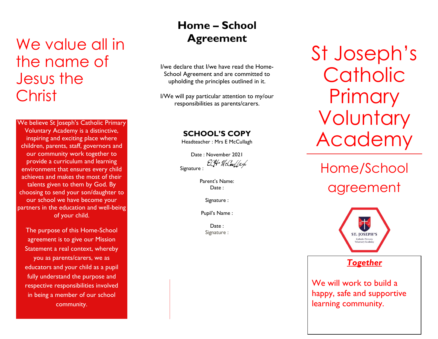# We value all in the name of Jesus the **Christ**

We believe St Joseph's Catholic Primary Voluntary Academy is a distinctive, inspiring and exciting place where children, parents, staff, governors and our community work together to provide a curriculum and learning environment that ensures every child achieves and makes the most of their talents given to them by God. By choosing to send your son/daughter to our school we have become your partners in the education and well-being of your child.

The purpose of this Home-School agreement is to give our Mission Statement a real context, whereby you as parents/carers, we as educators and your child as a pupil fully understand the purpose and respective responsibilities involved in being a member of our school community.

## **Home – School Agreement**

I/we declare that I/we have read the Home-School Agreement and are committed to upholding the principles outlined in it.

I/We will pay particular attention to my/our responsibilities as parents/carers.

**SCHOOL'S COPY**

Headteacher : Mrs E McCullagh

Date : November 2021 ECH McCar/ach Signature :

> Parent's Name: Date :

> > Signature :

Pupil's Name :

Date: Signature : St Joseph's **Catholic Primary Voluntary** Academy

Home/School agreement



*Together*

We will work to build a happy, safe and supportive learning community.